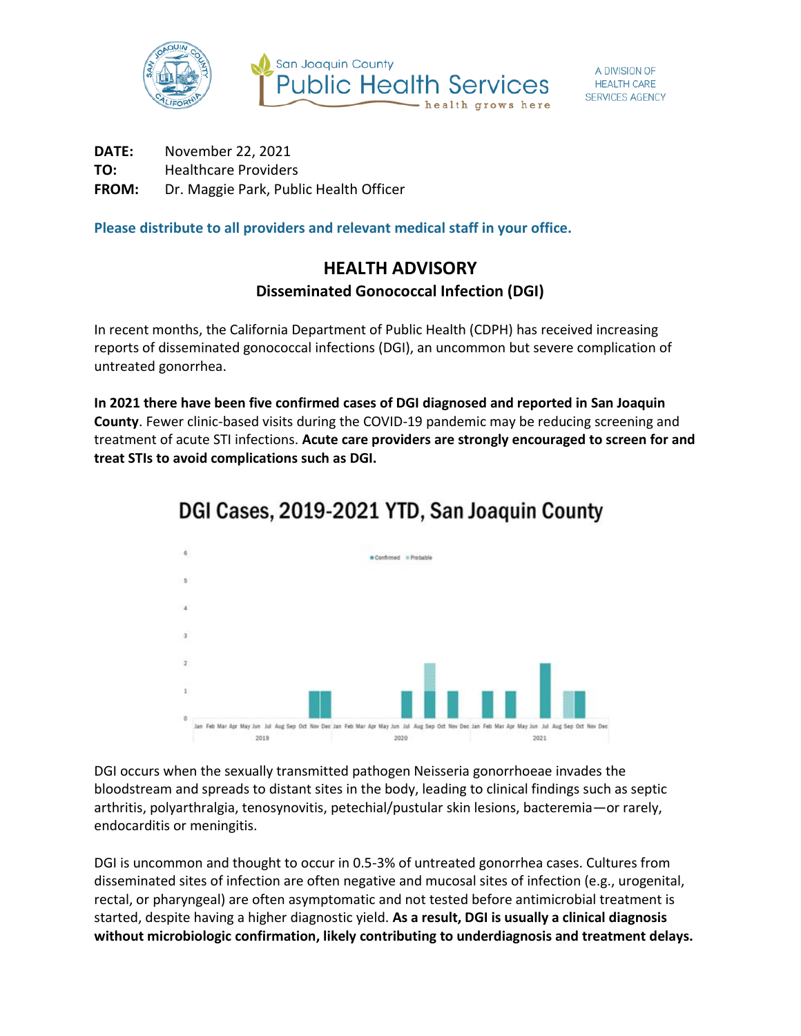

**DATE:** November 22, 2021 **TO:** Healthcare Providers **FROM:** Dr. Maggie Park, Public Health Officer

**Please distribute to all providers and relevant medical staff in your office.**

## **HEALTH ADVISORY Disseminated Gonococcal Infection (DGI)**

In recent months, the California Department of Public Health (CDPH) has received increasing reports of disseminated gonococcal infections (DGI), an uncommon but severe complication of untreated gonorrhea.

**In 2021 there have been five confirmed cases of DGI diagnosed and reported in San Joaquin County**. Fewer clinic-based visits during the COVID-19 pandemic may be reducing screening and treatment of acute STI infections. **Acute care providers are strongly encouraged to screen for and treat STIs to avoid complications such as DGI.**



## DGI Cases, 2019-2021 YTD, San Joaquin County

DGI occurs when the sexually transmitted pathogen Neisseria gonorrhoeae invades the bloodstream and spreads to distant sites in the body, leading to clinical findings such as septic arthritis, polyarthralgia, tenosynovitis, petechial/pustular skin lesions, bacteremia—or rarely, endocarditis or meningitis.

DGI is uncommon and thought to occur in 0.5-3% of untreated gonorrhea cases. Cultures from disseminated sites of infection are often negative and mucosal sites of infection (e.g., urogenital, rectal, or pharyngeal) are often asymptomatic and not tested before antimicrobial treatment is started, despite having a higher diagnostic yield. **As a result, DGI is usually a clinical diagnosis without microbiologic confirmation, likely contributing to underdiagnosis and treatment delays.**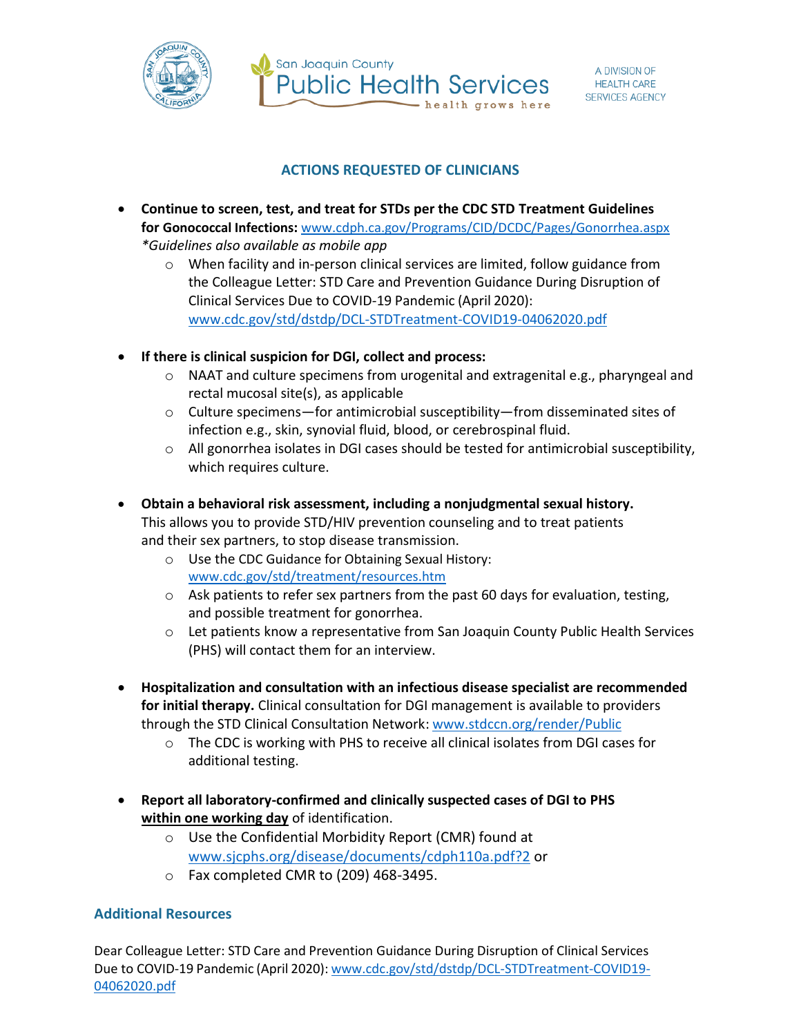

San Joaquin County **Public Health Services** health grows here

## **ACTIONS REQUESTED OF CLINICIANS**

- **Continue to screen, test, and treat for STDs per the CDC STD Treatment Guidelines for Gonococcal Infections:** [www.cdph.ca.gov/Programs/CID/DCDC/Pages/Gonorrhea.aspx](http://www.cdph.ca.gov/Programs/CID/DCDC/Pages/Gonorrhea.aspx) *\*Guidelines also available as mobile app*
	- $\circ$  When facility and in-person clinical services are limited, follow guidance from the Colleague Letter: STD Care and Prevention Guidance During Disruption of Clinical Services Due to COVID-19 Pandemic (April 2020): [www.cdc.gov/std/dstdp/DCL-STDTreatment-COVID19-04062020.pdf](http://www.cdc.gov/std/dstdp/DCL-STDTreatment-COVID19-04062020.pdf)
- **If there is clinical suspicion for DGI, collect and process:**
	- $\circ$  NAAT and culture specimens from urogenital and extragenital e.g., pharyngeal and rectal mucosal site(s), as applicable
	- $\circ$  Culture specimens—for antimicrobial susceptibility—from disseminated sites of infection e.g., skin, synovial fluid, blood, or cerebrospinal fluid.
	- $\circ$  All gonorrhea isolates in DGI cases should be tested for antimicrobial susceptibility, which requires culture.
- **Obtain a behavioral risk assessment, including a nonjudgmental sexual history.**  This allows you to provide STD/HIV prevention counseling and to treat patients and their sex partners, to stop disease transmission.
	- o Use the CDC Guidance for Obtaining Sexual History: [www.cdc.gov/std/treatment/resources.htm](http://www.cdc.gov/std/treatment/resources.htm)
	- $\circ$  Ask patients to refer sex partners from the past 60 days for evaluation, testing, and possible treatment for gonorrhea.
	- o Let patients know a representative from San Joaquin County Public Health Services (PHS) will contact them for an interview.
- **Hospitalization and consultation with an infectious disease specialist are recommended for initial therapy.** Clinical consultation for DGI management is available to providers through the STD Clinical Consultation Network: [www.stdccn.org/render/Public](http://www.stdccn.org/render/Public)
	- $\circ$  The CDC is working with PHS to receive all clinical isolates from DGI cases for additional testing.
- **Report all laboratory-confirmed and clinically suspected cases of DGI to PHS within one working day** of identification.
	- o Use the Confidential Morbidity Report (CMR) found at [www.sjcphs.org/disease/documents/cdph110a.pdf?2](http://www.sjcphs.org/disease/documents/cdph110a.pdf?2) or
	- o Fax completed CMR to (209) 468-3495.

## **Additional Resources**

Dear Colleague Letter: STD Care and Prevention Guidance During Disruption of Clinical Services Due to COVID-19 Pandemic (April 2020): [www.cdc.gov/std/dstdp/DCL-STDTreatment-COVID19-](http://www.cdc.gov/std/dstdp/DCL-STDTreatment-COVID19-04062020.pdf) [04062020.pdf](http://www.cdc.gov/std/dstdp/DCL-STDTreatment-COVID19-04062020.pdf)